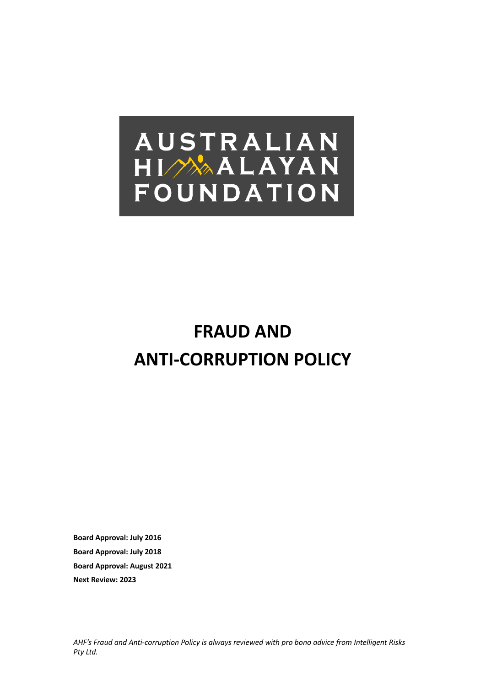# **AUSTRALIAN** HIMAALAYAN FOUNDATION

# **FRAUD AND ANTI-CORRUPTION POLICY**

**Board Approval: July 2016 Board Approval: July 2018 Board Approval: August 2021 Next Review: 2023**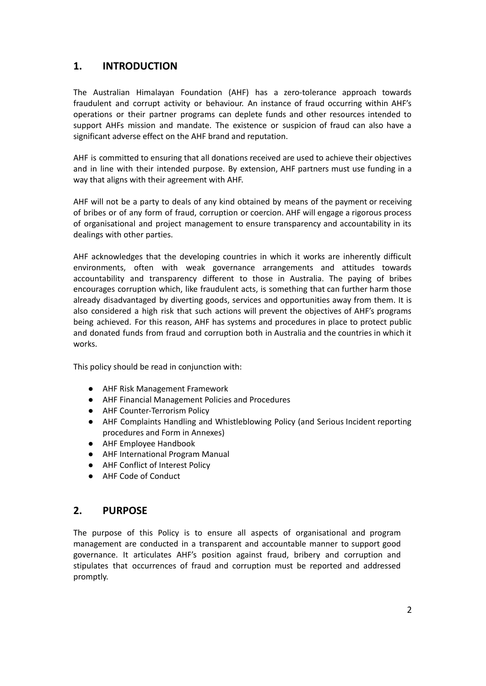# **1. INTRODUCTION**

The Australian Himalayan Foundation (AHF) has a zero-tolerance approach towards fraudulent and corrupt activity or behaviour. An instance of fraud occurring within AHF's operations or their partner programs can deplete funds and other resources intended to support AHFs mission and mandate. The existence or suspicion of fraud can also have a significant adverse effect on the AHF brand and reputation.

AHF is committed to ensuring that all donations received are used to achieve their objectives and in line with their intended purpose. By extension, AHF partners must use funding in a way that aligns with their agreement with AHF.

AHF will not be a party to deals of any kind obtained by means of the payment or receiving of bribes or of any form of fraud, corruption or coercion. AHF will engage a rigorous process of organisational and project management to ensure transparency and accountability in its dealings with other parties.

AHF acknowledges that the developing countries in which it works are inherently difficult environments, often with weak governance arrangements and attitudes towards accountability and transparency different to those in Australia. The paying of bribes encourages corruption which, like fraudulent acts, is something that can further harm those already disadvantaged by diverting goods, services and opportunities away from them. It is also considered a high risk that such actions will prevent the objectives of AHF's programs being achieved. For this reason, AHF has systems and procedures in place to protect public and donated funds from fraud and corruption both in Australia and the countries in which it works.

This policy should be read in conjunction with:

- AHF Risk Management Framework
- AHF Financial Management Policies and Procedures
- AHF Counter-Terrorism Policy
- AHF Complaints Handling and Whistleblowing Policy (and Serious Incident reporting procedures and Form in Annexes)
- AHF Employee Handbook
- AHF International Program Manual
- AHF Conflict of Interest Policy
- AHF Code of Conduct

#### **2. PURPOSE**

The purpose of this Policy is to ensure all aspects of organisational and program management are conducted in a transparent and accountable manner to support good governance. It articulates AHF's position against fraud, bribery and corruption and stipulates that occurrences of fraud and corruption must be reported and addressed promptly.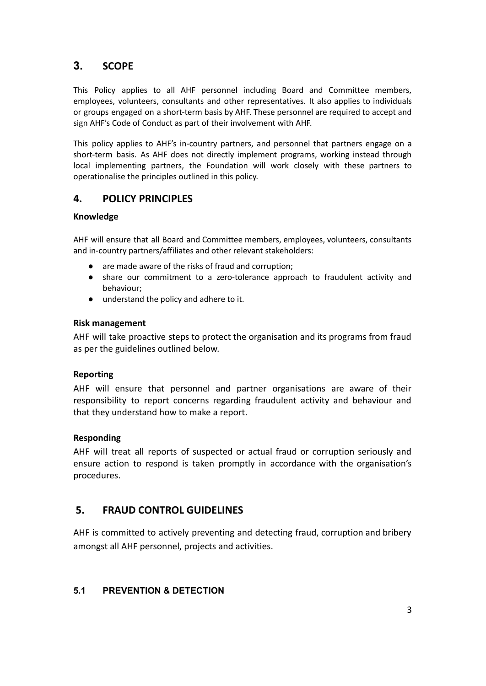# **3. SCOPE**

This Policy applies to all AHF personnel including Board and Committee members, employees, volunteers, consultants and other representatives. It also applies to individuals or groups engaged on a short-term basis by AHF. These personnel are required to accept and sign AHF's Code of Conduct as part of their involvement with AHF.

This policy applies to AHF's in-country partners, and personnel that partners engage on a short-term basis. As AHF does not directly implement programs, working instead through local implementing partners, the Foundation will work closely with these partners to operationalise the principles outlined in this policy.

# **4. POLICY PRINCIPLES**

#### **Knowledge**

AHF will ensure that all Board and Committee members, employees, volunteers, consultants and in-country partners/affiliates and other relevant stakeholders:

- **●** are made aware of the risks of fraud and corruption;
- **●** share our commitment to a zero-tolerance approach to fraudulent activity and behaviour;
- **●** understand the policy and adhere to it.

#### **Risk management**

AHF will take proactive steps to protect the organisation and its programs from fraud as per the guidelines outlined below.

#### **Reporting**

AHF will ensure that personnel and partner organisations are aware of their responsibility to report concerns regarding fraudulent activity and behaviour and that they understand how to make a report.

#### **Responding**

AHF will treat all reports of suspected or actual fraud or corruption seriously and ensure action to respond is taken promptly in accordance with the organisation's procedures.

# **5. FRAUD CONTROL GUIDELINES**

AHF is committed to actively preventing and detecting fraud, corruption and bribery amongst all AHF personnel, projects and activities.

# **5.1 PREVENTION & DETECTION**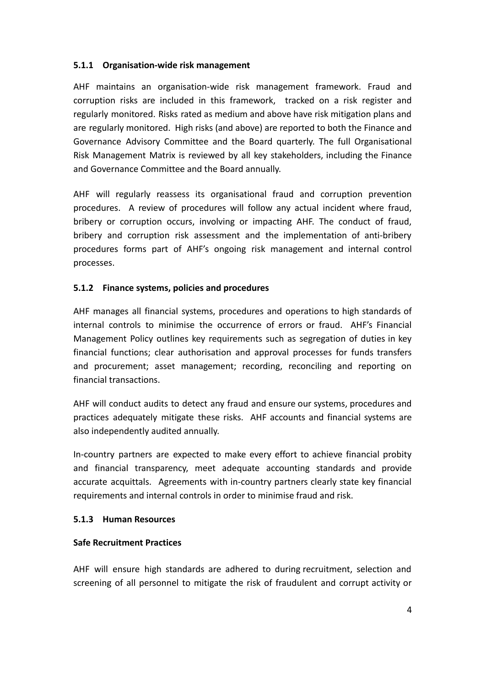#### **5.1.1 Organisation-wide risk management**

AHF maintains an organisation-wide risk management framework. Fraud and corruption risks are included in this framework, tracked on a risk register and regularly monitored. Risks rated as medium and above have risk mitigation plans and are regularly monitored. High risks (and above) are reported to both the Finance and Governance Advisory Committee and the Board quarterly. The full Organisational Risk Management Matrix is reviewed by all key stakeholders, including the Finance and Governance Committee and the Board annually.

AHF will regularly reassess its organisational fraud and corruption prevention procedures. A review of procedures will follow any actual incident where fraud, bribery or corruption occurs, involving or impacting AHF. The conduct of fraud, bribery and corruption risk assessment and the implementation of anti-bribery procedures forms part of AHF's ongoing risk management and internal control processes.

#### **5.1.2 Finance systems, policies and procedures**

AHF manages all financial systems, procedures and operations to high standards of internal controls to minimise the occurrence of errors or fraud. AHF's Financial Management Policy outlines key requirements such as segregation of duties in key financial functions; clear authorisation and approval processes for funds transfers and procurement; asset management; recording, reconciling and reporting on financial transactions.

AHF will conduct audits to detect any fraud and ensure our systems, procedures and practices adequately mitigate these risks. AHF accounts and financial systems are also independently audited annually.

In-country partners are expected to make every effort to achieve financial probity and financial transparency, meet adequate accounting standards and provide accurate acquittals. Agreements with in-country partners clearly state key financial requirements and internal controls in order to minimise fraud and risk.

#### **5.1.3 Human Resources**

#### **Safe Recruitment Practices**

AHF will ensure high standards are adhered to during recruitment, selection and screening of all personnel to mitigate the risk of fraudulent and corrupt activity or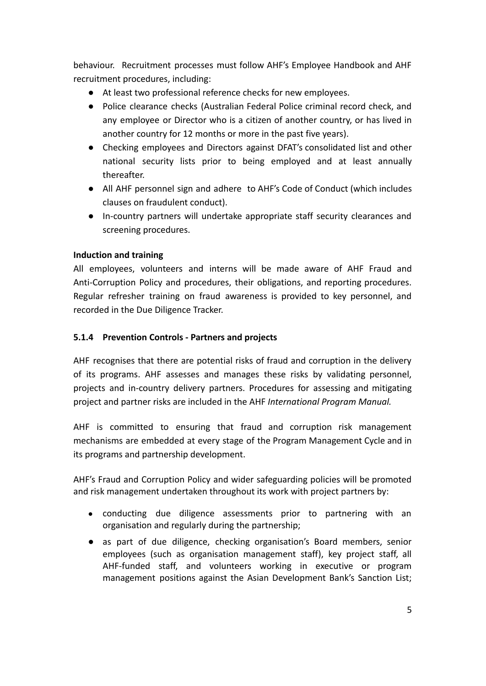behaviour. Recruitment processes must follow AHF's Employee Handbook and AHF recruitment procedures, including:

- At least two professional reference checks for new employees.
- Police clearance checks (Australian Federal Police criminal record check, and any employee or Director who is a citizen of another country, or has lived in another country for 12 months or more in the past five years).
- Checking employees and Directors against DFAT's consolidated list and other national security lists prior to being employed and at least annually thereafter.
- All AHF personnel sign and adhere to AHF's Code of Conduct (which includes clauses on fraudulent conduct).
- In-country partners will undertake appropriate staff security clearances and screening procedures.

### **Induction and training**

All employees, volunteers and interns will be made aware of AHF Fraud and Anti-Corruption Policy and procedures, their obligations, and reporting procedures. Regular refresher training on fraud awareness is provided to key personnel, and recorded in the Due Diligence Tracker.

#### **5.1.4 Prevention Controls - Partners and projects**

AHF recognises that there are potential risks of fraud and corruption in the delivery of its programs. AHF assesses and manages these risks by validating personnel, projects and in-country delivery partners. Procedures for assessing and mitigating project and partner risks are included in the AHF *International Program Manual.*

AHF is committed to ensuring that fraud and corruption risk management mechanisms are embedded at every stage of the Program Management Cycle and in its programs and partnership development.

AHF's Fraud and Corruption Policy and wider safeguarding policies will be promoted and risk management undertaken throughout its work with project partners by:

- conducting due diligence assessments prior to partnering with an organisation and regularly during the partnership;
- as part of due diligence, checking organisation's Board members, senior employees (such as organisation management staff), key project staff, all AHF-funded staff, and volunteers working in executive or program management positions against the Asian Development Bank's Sanction List;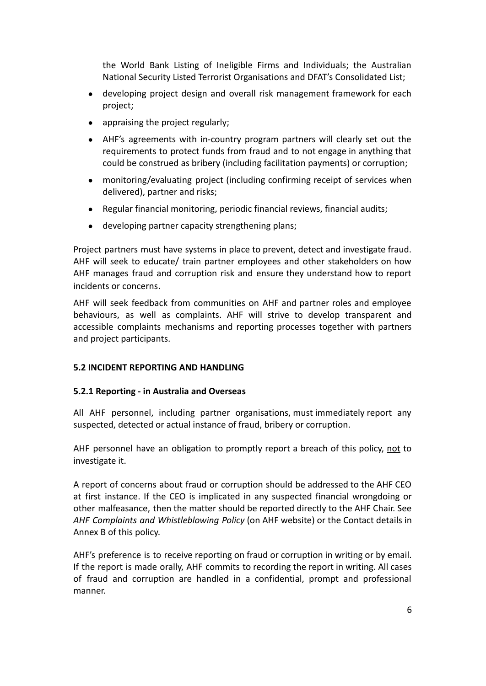the World Bank Listing of Ineligible Firms and Individuals; the Australian National Security Listed Terrorist Organisations and DFAT's Consolidated List;

- developing project design and overall risk management framework for each project;
- appraising the project regularly;
- AHF's agreements with in-country program partners will clearly set out the requirements to protect funds from fraud and to not engage in anything that could be construed as bribery (including facilitation payments) or corruption;
- monitoring/evaluating project (including confirming receipt of services when delivered), partner and risks;
- Regular financial monitoring, periodic financial reviews, financial audits;
- developing partner capacity strengthening plans;

Project partners must have systems in place to prevent, detect and investigate fraud. AHF will seek to educate/ train partner employees and other stakeholders on how AHF manages fraud and corruption risk and ensure they understand how to report incidents or concerns.

AHF will seek feedback from communities on AHF and partner roles and employee behaviours, as well as complaints. AHF will strive to develop transparent and accessible complaints mechanisms and reporting processes together with partners and project participants.

#### **5.2 INCIDENT REPORTING AND HANDLING**

#### **5.2.1 Reporting - in Australia and Overseas**

All AHF personnel, including partner organisations, must immediately report any suspected, detected or actual instance of fraud, bribery or corruption.

AHF personnel have an obligation to promptly report a breach of this policy, not to investigate it.

A report of concerns about fraud or corruption should be addressed to the AHF CEO at first instance. If the CEO is implicated in any suspected financial wrongdoing or other malfeasance, then the matter should be reported directly to the AHF Chair. See *AHF Complaints and Whistleblowing Policy* (on AHF website) or the Contact details in Annex B of this policy.

AHF's preference is to receive reporting on fraud or corruption in writing or by email. If the report is made orally, AHF commits to recording the report in writing. All cases of fraud and corruption are handled in a confidential, prompt and professional manner.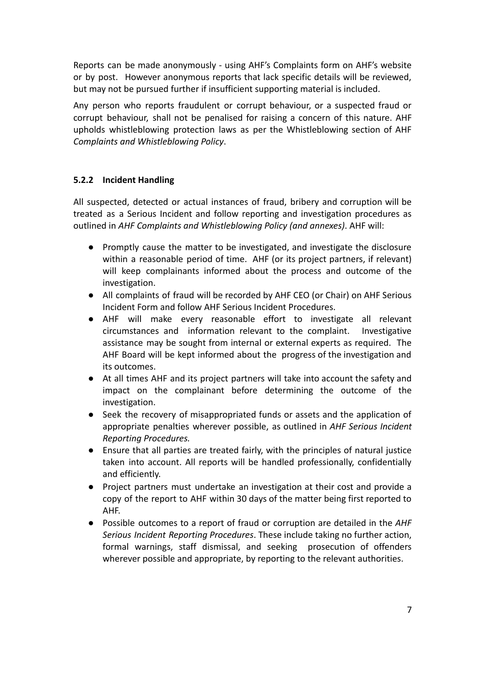Reports can be made anonymously - using AHF's Complaints form on AHF's website or by post. However anonymous reports that lack specific details will be reviewed, but may not be pursued further if insufficient supporting material is included.

Any person who reports fraudulent or corrupt behaviour, or a suspected fraud or corrupt behaviour, shall not be penalised for raising a concern of this nature. AHF upholds whistleblowing protection laws as per the Whistleblowing section of AHF *Complaints and Whistleblowing Policy*.

#### **5.2.2 Incident Handling**

All suspected, detected or actual instances of fraud, bribery and corruption will be treated as a Serious Incident and follow reporting and investigation procedures as outlined in *AHF Complaints and Whistleblowing Policy (and annexes)*. AHF will:

- Promptly cause the matter to be investigated, and investigate the disclosure within a reasonable period of time. AHF (or its project partners, if relevant) will keep complainants informed about the process and outcome of the investigation.
- All complaints of fraud will be recorded by AHF CEO (or Chair) on AHF Serious Incident Form and follow AHF Serious Incident Procedures.
- AHF will make every reasonable effort to investigate all relevant circumstances and information relevant to the complaint. Investigative assistance may be sought from internal or external experts as required. The AHF Board will be kept informed about the progress of the investigation and its outcomes.
- At all times AHF and its project partners will take into account the safety and impact on the complainant before determining the outcome of the investigation.
- Seek the recovery of misappropriated funds or assets and the application of appropriate penalties wherever possible, as outlined in *AHF Serious Incident Reporting Procedures.*
- Ensure that all parties are treated fairly, with the principles of natural justice taken into account. All reports will be handled professionally, confidentially and efficiently.
- Project partners must undertake an investigation at their cost and provide a copy of the report to AHF within 30 days of the matter being first reported to AHF.
- Possible outcomes to a report of fraud or corruption are detailed in the *AHF Serious Incident Reporting Procedures*. These include taking no further action, formal warnings, staff dismissal, and seeking prosecution of offenders wherever possible and appropriate, by reporting to the relevant authorities.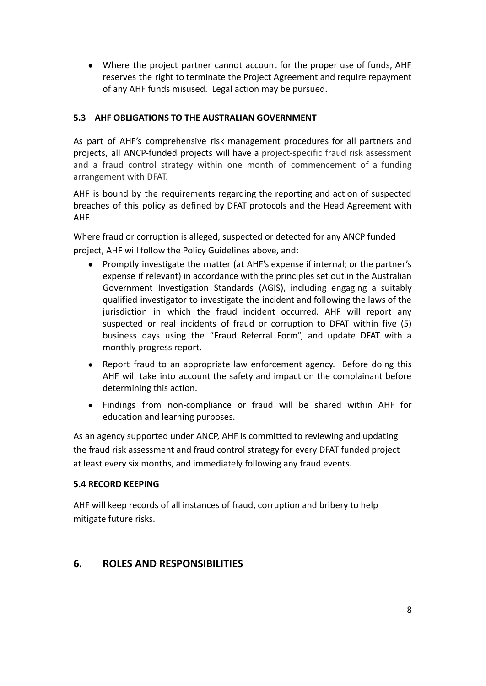• Where the project partner cannot account for the proper use of funds, AHF reserves the right to terminate the Project Agreement and require repayment of any AHF funds misused. Legal action may be pursued.

#### **5.3 AHF OBLIGATIONS TO THE AUSTRALIAN GOVERNMENT**

As part of AHF's comprehensive risk management procedures for all partners and projects, all ANCP-funded projects will have a project-specific fraud risk assessment and a fraud control strategy within one month of commencement of a funding arrangement with DFAT.

AHF is bound by the requirements regarding the reporting and action of suspected breaches of this policy as defined by DFAT protocols and the Head Agreement with AHF.

Where fraud or corruption is alleged, suspected or detected for any ANCP funded project, AHF will follow the Policy Guidelines above, and:

- Promptly investigate the matter (at AHF's expense if internal; or the partner's expense if relevant) in accordance with the principles set out in the Australian Government Investigation Standards (AGIS), including engaging a suitably qualified investigator to investigate the incident and following the laws of the jurisdiction in which the fraud incident occurred. AHF will report any suspected or real incidents of fraud or corruption to DFAT within five (5) business days using the "Fraud Referral Form", and update DFAT with a monthly progress report.
- Report fraud to an appropriate law enforcement agency. Before doing this AHF will take into account the safety and impact on the complainant before determining this action.
- Findings from non-compliance or fraud will be shared within AHF for education and learning purposes.

As an agency supported under ANCP, AHF is committed to reviewing and updating the fraud risk assessment and fraud control strategy for every DFAT funded project at least every six months, and immediately following any fraud events.

#### **5.4 RECORD KEEPING**

AHF will keep records of all instances of fraud, corruption and bribery to help mitigate future risks.

# **6. ROLES AND RESPONSIBILITIES**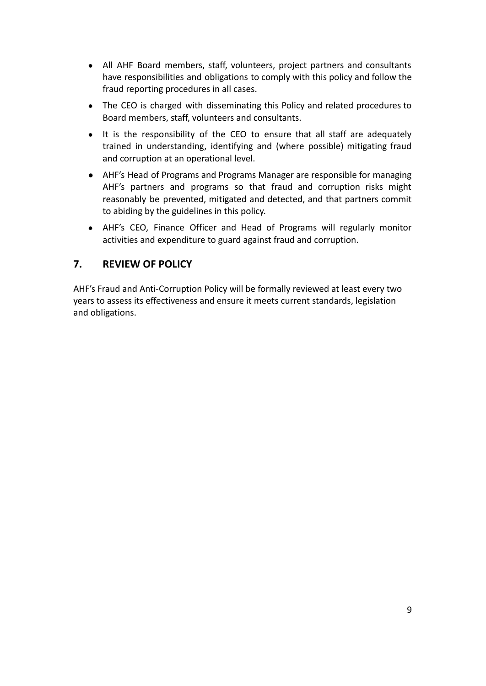- All AHF Board members, staff, volunteers, project partners and consultants have responsibilities and obligations to comply with this policy and follow the fraud reporting procedures in all cases.
- The CEO is charged with disseminating this Policy and related procedures to Board members, staff, volunteers and consultants.
- It is the responsibility of the CEO to ensure that all staff are adequately trained in understanding, identifying and (where possible) mitigating fraud and corruption at an operational level.
- AHF's Head of Programs and Programs Manager are responsible for managing AHF's partners and programs so that fraud and corruption risks might reasonably be prevented, mitigated and detected, and that partners commit to abiding by the guidelines in this policy.
- AHF's CEO, Finance Officer and Head of Programs will regularly monitor activities and expenditure to guard against fraud and corruption.

# **7. REVIEW OF POLICY**

AHF's Fraud and Anti-Corruption Policy will be formally reviewed at least every two years to assess its effectiveness and ensure it meets current standards, legislation and obligations.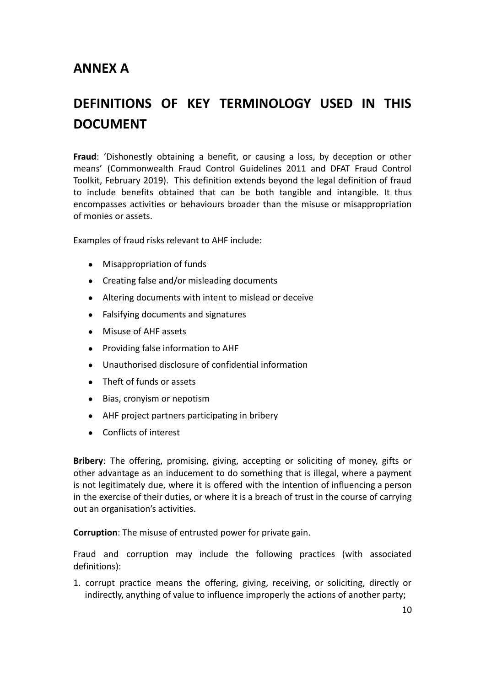# **ANNEX A**

# **DEFINITIONS OF KEY TERMINOLOGY USED IN THIS DOCUMENT**

**Fraud**: 'Dishonestly obtaining a benefit, or causing a loss, by deception or other means' (Commonwealth Fraud Control Guidelines 2011 and DFAT Fraud Control Toolkit, February 2019). This definition extends beyond the legal definition of fraud to include benefits obtained that can be both tangible and intangible. It thus encompasses activities or behaviours broader than the misuse or misappropriation of monies or assets.

Examples of fraud risks relevant to AHF include:

- Misappropriation of funds
- Creating false and/or misleading documents
- Altering documents with intent to mislead or deceive
- Falsifying documents and signatures
- Misuse of AHF assets
- Providing false information to AHF
- Unauthorised disclosure of confidential information
- Theft of funds or assets
- Bias, cronyism or nepotism
- AHF project partners participating in bribery
- Conflicts of interest

**Bribery**: The offering, promising, giving, accepting or soliciting of money, gifts or other advantage as an inducement to do something that is illegal, where a payment is not legitimately due, where it is offered with the intention of influencing a person in the exercise of their duties, or where it is a breach of trust in the course of carrying out an organisation's activities.

**Corruption**: The misuse of entrusted power for private gain.

Fraud and corruption may include the following practices (with associated definitions):

1. corrupt practice means the offering, giving, receiving, or soliciting, directly or indirectly, anything of value to influence improperly the actions of another party;